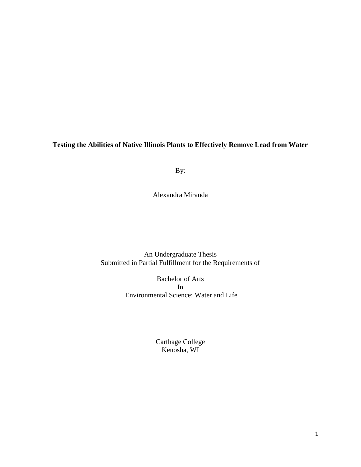**Testing the Abilities of Native Illinois Plants to Effectively Remove Lead from Water**

By:

Alexandra Miranda

An Undergraduate Thesis Submitted in Partial Fulfillment for the Requirements of

> Bachelor of Arts In Environmental Science: Water and Life

> > Carthage College Kenosha, WI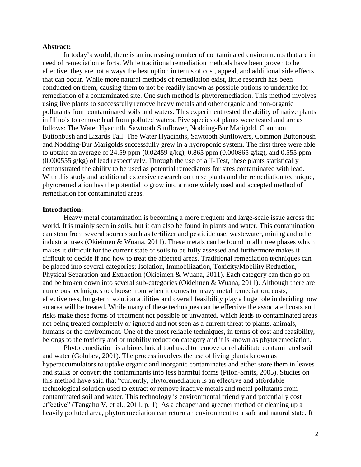## **Abstract:**

In today's world, there is an increasing number of contaminated environments that are in need of remediation efforts. While traditional remediation methods have been proven to be effective, they are not always the best option in terms of cost, appeal, and additional side effects that can occur. While more natural methods of remediation exist, little research has been conducted on them, causing them to not be readily known as possible options to undertake for remediation of a contaminated site. One such method is phytoremediation. This method involves using live plants to successfully remove heavy metals and other organic and non-organic pollutants from contaminated soils and waters. This experiment tested the ability of native plants in Illinois to remove lead from polluted waters. Five species of plants were tested and are as follows: The Water Hyacinth, Sawtooth Sunflower, Nodding-Bur Marigold, Common Buttonbush and Lizards Tail. The Water Hyacinths, Sawtooth Sunflowers, Common Buttonbush and Nodding-Bur Marigolds successfully grew in a hydroponic system. The first three were able to uptake an average of 24.59 ppm (0.02459 g/kg), 0.865 ppm (0.000865 g/kg), and 0.555 ppm (0.000555 g/kg) of lead respectively. Through the use of a T-Test, these plants statistically demonstrated the ability to be used as potential remediators for sites contaminated with lead. With this study and additional extensive research on these plants and the remediation technique, phytoremediation has the potential to grow into a more widely used and accepted method of remediation for contaminated areas.

#### **Introduction:**

Heavy metal contamination is becoming a more frequent and large-scale issue across the world. It is mainly seen in soils, but it can also be found in plants and water. This contamination can stem from several sources such as fertilizer and pesticide use, wastewater, mining and other industrial uses (Okieimen & Wuana, 2011). These metals can be found in all three phases which makes it difficult for the current state of soils to be fully assessed and furthermore makes it difficult to decide if and how to treat the affected areas. Traditional remediation techniques can be placed into several categories; Isolation, Immobilization, Toxicity/Mobility Reduction, Physical Separation and Extraction (Okieimen & Wuana, 2011). Each category can then go on and be broken down into several sub-categories (Okieimen & Wuana, 2011). Although there are numerous techniques to choose from when it comes to heavy metal remediation, costs, effectiveness, long-term solution abilities and overall feasibility play a huge role in deciding how an area will be treated. While many of these techniques can be effective the associated costs and risks make those forms of treatment not possible or unwanted, which leads to contaminated areas not being treated completely or ignored and not seen as a current threat to plants, animals, humans or the environment. One of the most reliable techniques, in terms of cost and feasibility, belongs to the toxicity and or mobility reduction category and it is known as phytoremediation.

Phytoremediation is a biotechnical tool used to remove or rehabilitate contaminated soil and water (Golubev, 2001). The process involves the use of living plants known as hyperaccumulators to uptake organic and inorganic contaminates and either store them in leaves and stalks or convert the contaminants into less harmful forms (Pilon-Smits, 2005). Studies on this method have said that "currently, phytoremediation is an effective and affordable technological solution used to extract or remove inactive metals and metal pollutants from contaminated soil and water. This technology is environmental friendly and potentially cost effective" (Tangahu V, et al., 2011, p. 1) As a cheaper and greener method of cleaning up a heavily polluted area, phytoremediation can return an environment to a safe and natural state. It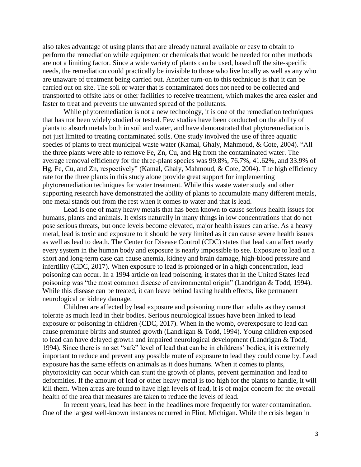also takes advantage of using plants that are already natural available or easy to obtain to perform the remediation while equipment or chemicals that would be needed for other methods are not a limiting factor. Since a wide variety of plants can be used, based off the site-specific needs, the remediation could practically be invisible to those who live locally as well as any who are unaware of treatment being carried out. Another turn-on to this technique is that it can be carried out on site. The soil or water that is contaminated does not need to be collected and transported to offsite labs or other facilities to receive treatment, which makes the area easier and faster to treat and prevents the unwanted spread of the pollutants.

While phytoremediation is not a new technology, it is one of the remediation techniques that has not been widely studied or tested. Few studies have been conducted on the ability of plants to absorb metals both in soil and water, and have demonstrated that phytoremediation is not just limited to treating contaminated soils. One study involved the use of three aquatic species of plants to treat municipal waste water (Kamal, Ghaly, Mahmoud, & Cote, 2004). "All the three plants were able to remove Fe, Zn, Cu, and Hg from the contaminated water. The average removal efficiency for the three-plant species was 99.8%, 76.7%, 41.62%, and 33.9% of Hg, Fe, Cu, and Zn, respectively" (Kamal, Ghaly, Mahmoud, & Cote, 2004). The high efficiency rate for the three plants in this study alone provide great support for implementing phytoremediation techniques for water treatment. While this waste water study and other supporting research have demonstrated the ability of plants to accumulate many different metals, one metal stands out from the rest when it comes to water and that is lead.

Lead is one of many heavy metals that has been known to cause serious health issues for humans, plants and animals. It exists naturally in many things in low concentrations that do not pose serious threats, but once levels become elevated, major health issues can arise. As a heavy metal, lead is toxic and exposure to it should be very limited as it can cause severe health issues as well as lead to death. The Center for Disease Control (CDC) states that lead can affect nearly every system in the human body and exposure is nearly impossible to see. Exposure to lead on a short and long-term case can cause anemia, kidney and brain damage, high-blood pressure and infertility (CDC, 2017). When exposure to lead is prolonged or in a high concentration, lead poisoning can occur. In a 1994 article on lead poisoning, it states that in the United States lead poisoning was "the most common disease of environmental origin" (Landrigan & Todd, 1994). While this disease can be treated, it can leave behind lasting health effects, like permanent neurological or kidney damage.

Children are affected by lead exposure and poisoning more than adults as they cannot tolerate as much lead in their bodies. Serious neurological issues have been linked to lead exposure or poisoning in children (CDC, 2017). When in the womb, overexposure to lead can cause premature births and stunted growth (Landrigan & Todd, 1994). Young children exposed to lead can have delayed growth and impaired neurological development (Landrigan & Todd, 1994). Since there is no set "safe" level of lead that can be in childrens' bodies, it is extremely important to reduce and prevent any possible route of exposure to lead they could come by. Lead exposure has the same effects on animals as it does humans. When it comes to plants, phytotoxicity can occur which can stunt the growth of plants, prevent germination and lead to deformities. If the amount of lead or other heavy metal is too high for the plants to handle, it will kill them. When areas are found to have high levels of lead, it is of major concern for the overall health of the area that measures are taken to reduce the levels of lead.

In recent years, lead has been in the headlines more frequently for water contamination. One of the largest well-known instances occurred in Flint, Michigan. While the crisis began in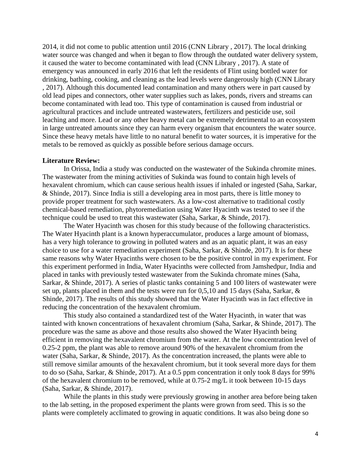2014, it did not come to public attention until 2016 (CNN Library , 2017). The local drinking water source was changed and when it began to flow through the outdated water delivery system, it caused the water to become contaminated with lead (CNN Library , 2017). A state of emergency was announced in early 2016 that left the residents of Flint using bottled water for drinking, bathing, cooking, and cleaning as the lead levels were dangerously high (CNN Library , 2017). Although this documented lead contamination and many others were in part caused by old lead pipes and connectors, other water supplies such as lakes, ponds, rivers and streams can become contaminated with lead too. This type of contamination is caused from industrial or agricultural practices and include untreated wastewaters, fertilizers and pesticide use, soil leaching and more. Lead or any other heavy metal can be extremely detrimental to an ecosystem in large untreated amounts since they can harm every organism that encounters the water source. Since these heavy metals have little to no natural benefit to water sources, it is imperative for the metals to be removed as quickly as possible before serious damage occurs.

#### **Literature Review:**

In Orissa, India a study was conducted on the wastewater of the Sukinda chromite mines. The wastewater from the mining activities of Sukinda was found to contain high levels of hexavalent chromium, which can cause serious health issues if inhaled or ingested (Saha, Sarkar, & Shinde, 2017). Since India is still a developing area in most parts, there is little money to provide proper treatment for such wastewaters. As a low-cost alternative to traditional costly chemical-based remediation, phytoremediation using Water Hyacinth was tested to see if the technique could be used to treat this wastewater (Saha, Sarkar, & Shinde, 2017).

The Water Hyacinth was chosen for this study because of the following characteristics. The Water Hyacinth plant is a known hyperaccumulator, produces a large amount of biomass, has a very high tolerance to growing in polluted waters and as an aquatic plant, it was an easy choice to use for a water remediation experiment (Saha, Sarkar, & Shinde, 2017). It is for these same reasons why Water Hyacinths were chosen to be the positive control in my experiment. For this experiment performed in India, Water Hyacinths were collected from Jamshedpur, India and placed in tanks with previously tested wastewater from the Sukinda chromate mines (Saha, Sarkar, & Shinde, 2017). A series of plastic tanks containing 5 and 100 liters of wastewater were set up, plants placed in them and the tests were run for 0,5,10 and 15 days (Saha, Sarkar, & Shinde, 2017). The results of this study showed that the Water Hyacinth was in fact effective in reducing the concentration of the hexavalent chromium.

This study also contained a standardized test of the Water Hyacinth, in water that was tainted with known concentrations of hexavalent chromium (Saha, Sarkar, & Shinde, 2017). The procedure was the same as above and those results also showed the Water Hyacinth being efficient in removing the hexavalent chromium from the water. At the low concentration level of 0.25-2 ppm, the plant was able to remove around 90% of the hexavalent chromium from the water (Saha, Sarkar, & Shinde, 2017). As the concentration increased, the plants were able to still remove similar amounts of the hexavalent chromium, but it took several more days for them to do so (Saha, Sarkar, & Shinde, 2017). At a 0.5 ppm concentration it only took 8 days for 99% of the hexavalent chromium to be removed, while at 0.75-2 mg/L it took between 10-15 days (Saha, Sarkar, & Shinde, 2017).

While the plants in this study were previously growing in another area before being taken to the lab setting, in the proposed experiment the plants were grown from seed. This is so the plants were completely acclimated to growing in aquatic conditions. It was also being done so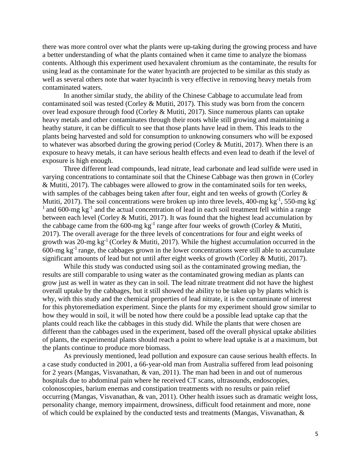there was more control over what the plants were up-taking during the growing process and have a better understanding of what the plants contained when it came time to analyze the biomass contents. Although this experiment used hexavalent chromium as the contaminate, the results for using lead as the contaminate for the water hyacinth are projected to be similar as this study as well as several others note that water hyacinth is very effective in removing heavy metals from contaminated waters.

In another similar study, the ability of the Chinese Cabbage to accumulate lead from contaminated soil was tested (Corley & Mutiti, 2017). This study was born from the concern over lead exposure through food (Corley & Mutiti, 2017). Since numerous plants can uptake heavy metals and other contaminates through their roots while still growing and maintaining a heathy stature, it can be difficult to see that those plants have lead in them. This leads to the plants being harvested and sold for consumption to unknowing consumers who will be exposed to whatever was absorbed during the growing period (Corley & Mutiti, 2017). When there is an exposure to heavy metals, it can have serious health effects and even lead to death if the level of exposure is high enough.

Three different lead compounds, lead nitrate, lead carbonate and lead sulfide were used in varying concentrations to contaminate soil that the Chinese Cabbage was then grown in (Corley & Mutiti, 2017). The cabbages were allowed to grow in the contaminated soils for ten weeks, with samples of the cabbages being taken after four, eight and ten weeks of growth (Corley & Mutiti, 2017). The soil concentrations were broken up into three levels, 400-mg  $kg^{-1}$ , 550-mg kg<sup>-1</sup>  $1$  and 600-mg kg<sup>-1</sup> and the actual concentration of lead in each soil treatment fell within a range between each level (Corley & Mutiti, 2017). It was found that the highest lead accumulation by the cabbage came from the 600-mg  $kg^{-1}$  range after four weeks of growth (Corley & Mutiti, 2017). The overall average for the three levels of concentrations for four and eight weeks of growth was 20-mg kg<sup>-1</sup> (Corley & Mutiti, 2017). While the highest accumulation occurred in the  $600$ -mg kg<sup>-1</sup> range, the cabbages grown in the lower concentrations were still able to accumulate significant amounts of lead but not until after eight weeks of growth (Corley & Mutiti, 2017).

While this study was conducted using soil as the contaminated growing median, the results are still comparable to using water as the contaminated growing median as plants can grow just as well in water as they can in soil. The lead nitrate treatment did not have the highest overall uptake by the cabbages, but it still showed the ability to be taken up by plants which is why, with this study and the chemical properties of lead nitrate, it is the contaminate of interest for this phytoremediation experiment. Since the plants for my experiment should grow similar to how they would in soil, it will be noted how there could be a possible lead uptake cap that the plants could reach like the cabbages in this study did. While the plants that were chosen are different than the cabbages used in the experiment, based off the overall physical uptake abilities of plants, the experimental plants should reach a point to where lead uptake is at a maximum, but the plants continue to produce more biomass.

As previously mentioned, lead pollution and exposure can cause serious health effects. In a case study conducted in 2001, a 66-year-old man from Australia suffered from lead poisoning for 2 years (Mangas, Visvanathan, & van, 2011). The man had been in and out of numerous hospitals due to abdominal pain where he received CT scans, ultrasounds, endoscopies, colonoscopies, barium enemas and constipation treatments with no results or pain relief occurring (Mangas, Visvanathan, & van, 2011). Other health issues such as dramatic weight loss, personality change, memory impairment, drowsiness, difficult food retainment and more, none of which could be explained by the conducted tests and treatments (Mangas, Visvanathan, &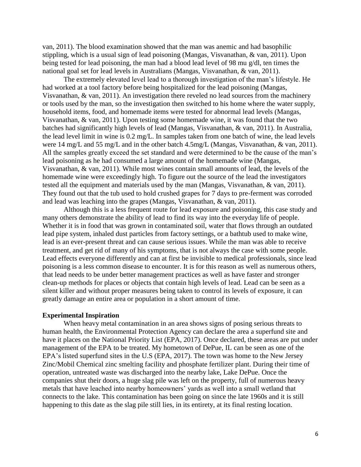van, 2011). The blood examination showed that the man was anemic and had basophilic stippling, which is a usual sign of lead poisoning (Mangas, Visvanathan, & van, 2011). Upon being tested for lead poisoning, the man had a blood lead level of 98 mu g/dl, ten times the national goal set for lead levels in Australians (Mangas, Visvanathan, & van, 2011).

The extremely elevated level lead to a thorough investigation of the man's lifestyle. He had worked at a tool factory before being hospitalized for the lead poisoning (Mangas, Visvanathan, & van, 2011). An investigation there reveled no lead sources from the machinery or tools used by the man, so the investigation then switched to his home where the water supply, household items, food, and homemade items were tested for abnormal lead levels (Mangas, Visvanathan, & van, 2011). Upon testing some homemade wine, it was found that the two batches had significantly high levels of lead (Mangas, Visvanathan, & van, 2011). In Australia, the lead level limit in wine is 0.2 mg/L. In samples taken from one batch of wine, the lead levels were 14 mg/L and 55 mg/L and in the other batch 4.5mg/L (Mangas, Visvanathan, & van, 2011). All the samples greatly exceed the set standard and were determined to be the cause of the man's lead poisoning as he had consumed a large amount of the homemade wine (Mangas, Visvanathan, & van, 2011). While most wines contain small amounts of lead, the levels of the homemade wine were exceedingly high. To figure out the source of the lead the investigators tested all the equipment and materials used by the man (Mangas, Visvanathan, & van, 2011). They found out that the tub used to hold crushed grapes for 7 days to pre-ferment was corroded and lead was leaching into the grapes (Mangas, Visvanathan, & van, 2011).

Although this is a less frequent route for lead exposure and poisoning, this case study and many others demonstrate the ability of lead to find its way into the everyday life of people. Whether it is in food that was grown in contaminated soil, water that flows through an outdated lead pipe system, inhaled dust particles from factory settings, or a bathtub used to make wine, lead is an ever-present threat and can cause serious issues. While the man was able to receive treatment, and get rid of many of his symptoms, that is not always the case with some people. Lead effects everyone differently and can at first be invisible to medical professionals, since lead poisoning is a less common disease to encounter. It is for this reason as well as numerous others, that lead needs to be under better management practices as well as have faster and stronger clean-up methods for places or objects that contain high levels of lead. Lead can be seen as a silent killer and without proper measures being taken to control its levels of exposure, it can greatly damage an entire area or population in a short amount of time.

#### **Experimental Inspiration**

When heavy metal contamination in an area shows signs of posing serious threats to human health, the Environmental Protection Agency can declare the area a superfund site and have it places on the National Priority List (EPA, 2017). Once declared, these areas are put under management of the EPA to be treated. My hometown of DePue, IL can be seen as one of the EPA's listed superfund sites in the U.S (EPA, 2017). The town was home to the New Jersey Zinc/Mobil Chemical zinc smelting facility and phosphate fertilizer plant. During their time of operation, untreated waste was discharged into the nearby lake, Lake DePue. Once the companies shut their doors, a huge slag pile was left on the property, full of numerous heavy metals that have leached into nearby homeowners' yards as well into a small wetland that connects to the lake. This contamination has been going on since the late 1960s and it is still happening to this date as the slag pile still lies, in its entirety, at its final resting location.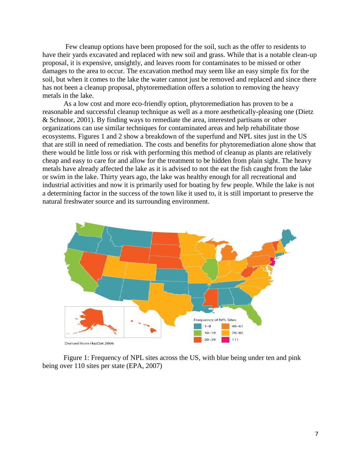Few cleanup options have been proposed for the soil, such as the offer to residents to have their yards excavated and replaced with new soil and grass. While that is a notable clean-up proposal, it is expensive, unsightly, and leaves room for contaminates to be missed or other damages to the area to occur. The excavation method may seem like an easy simple fix for the soil, but when it comes to the lake the water cannot just be removed and replaced and since there has not been a cleanup proposal, phytoremediation offers a solution to removing the heavy metals in the lake.

As a low cost and more eco-friendly option, phytoremediation has proven to be a reasonable and successful cleanup technique as well as a more aesthetically-pleasing one (Dietz & Schnoor, 2001). By finding ways to remediate the area, interested partisans or other organizations can use similar techniques for contaminated areas and help rehabilitate those ecosystems. Figures 1 and 2 show a breakdown of the superfund and NPL sites just in the US that are still in need of remediation. The costs and benefits for phytoremediation alone show that there would be little loss or risk with performing this method of cleanup as plants are relatively cheap and easy to care for and allow for the treatment to be hidden from plain sight. The heavy metals have already affected the lake as it is advised to not the eat the fish caught from the lake or swim in the lake. Thirty years ago, the lake was healthy enough for all recreational and industrial activities and now it is primarily used for boating by few people. While the lake is not a determining factor in the success of the town like it used to, it is still important to preserve the natural freshwater source and its surrounding environment.



Figure 1: Frequency of NPL sites across the US, with blue being under ten and pink being over 110 sites per state (EPA, 2007)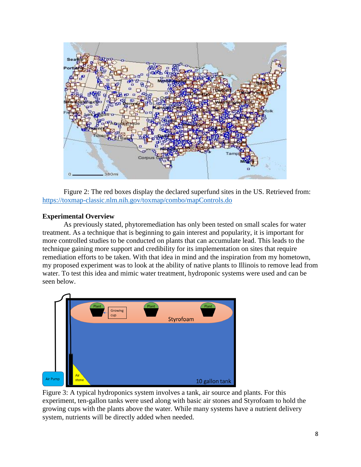

Figure 2: The red boxes display the declared superfund sites in the US. Retrieved from: <https://toxmap-classic.nlm.nih.gov/toxmap/combo/mapControls.do>

# **Experimental Overview**

As previously stated, phytoremediation has only been tested on small scales for water treatment. As a technique that is beginning to gain interest and popularity, it is important for more controlled studies to be conducted on plants that can accumulate lead. This leads to the technique gaining more support and credibility for its implementation on sites that require remediation efforts to be taken. With that idea in mind and the inspiration from my hometown, my proposed experiment was to look at the ability of native plants to Illinois to remove lead from water. To test this idea and mimic water treatment, hydroponic systems were used and can be seen below.



Figure 3: A typical hydroponics system involves a tank, air source and plants. For this experiment, ten-gallon tanks were used along with basic air stones and Styrofoam to hold the growing cups with the plants above the water. While many systems have a nutrient delivery system, nutrients will be directly added when needed.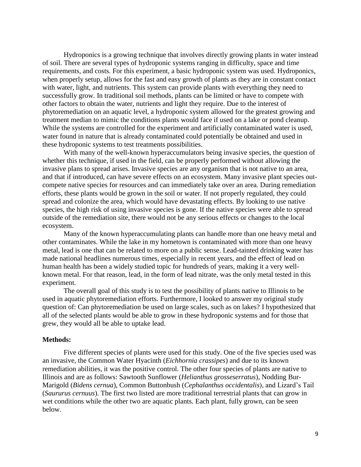Hydroponics is a growing technique that involves directly growing plants in water instead of soil. There are several types of hydroponic systems ranging in difficulty, space and time requirements, and costs. For this experiment, a basic hydroponic system was used. Hydroponics, when properly setup, allows for the fast and easy growth of plants as they are in constant contact with water, light, and nutrients. This system can provide plants with everything they need to successfully grow. In traditional soil methods, plants can be limited or have to compete with other factors to obtain the water, nutrients and light they require. Due to the interest of phytoremediation on an aquatic level, a hydroponic system allowed for the greatest growing and treatment median to mimic the conditions plants would face if used on a lake or pond cleanup. While the systems are controlled for the experiment and artificially contaminated water is used, water found in nature that is already contaminated could potentially be obtained and used in these hydroponic systems to test treatments possibilities.

With many of the well-known hyperaccumulators being invasive species, the question of whether this technique, if used in the field, can be properly performed without allowing the invasive plans to spread arises. Invasive species are any organism that is not native to an area, and that if introduced, can have severe effects on an ecosystem. Many invasive plant species outcompete native species for resources and can immediately take over an area. During remediation efforts, these plants would be grown in the soil or water. If not properly regulated, they could spread and colonize the area, which would have devastating effects. By looking to use native species, the high risk of using invasive species is gone. If the native species were able to spread outside of the remediation site, there would not be any serious effects or changes to the local ecosystem.

Many of the known hyperaccumulating plants can handle more than one heavy metal and other contaminates. While the lake in my hometown is contaminated with more than one heavy metal, lead is one that can be related to more on a public sense. Lead-tainted drinking water has made national headlines numerous times, especially in recent years, and the effect of lead on human health has been a widely studied topic for hundreds of years, making it a very wellknown metal. For that reason, lead, in the form of lead nitrate, was the only metal tested in this experiment.

The overall goal of this study is to test the possibility of plants native to Illinois to be used in aquatic phytoremediation efforts. Furthermore, I looked to answer my original study question of: Can phytoremediation be used on large scales, such as on lakes? I hypothesized that all of the selected plants would be able to grow in these hydroponic systems and for those that grew, they would all be able to uptake lead.

### **Methods:**

Five different species of plants were used for this study. One of the five species used was an invasive, the Common Water Hyacinth (*Eichhornia crassipes*) and due to its known remediation abilities, it was the positive control. The other four species of plants are native to Illinois and are as follows: Sawtooth Sunflower (*Helianthus grosseserratus*), Nodding Bur-Marigold (*Bidens cernua*), Common Buttonbush (*Cephalanthus occidentalis*), and Lizard's Tail (*Saururus cernuus*). The first two listed are more traditional terrestrial plants that can grow in wet conditions while the other two are aquatic plants. Each plant, fully grown, can be seen below.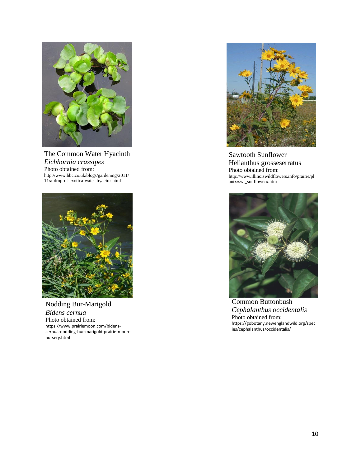

The Common Water Hyacinth *Eichhornia crassipes* Photo obtained from: [http://www.bbc.co.uk/blogs/gardening/](http://www.bbc.co.uk/blogs/gardening)2011/ 11/a-drop-of-exotica-water-hyacin.shtml



Nodding Bur-Marigold *Bidens cernua* Photo obtained from: https://www.prairiemoon.com/bidenscernua-nodding-bur-marigold-prairie-moonnursery.html



Sawtooth Sunflower Helianthus grosseserratus Photo obtained from: http://www.illinoiswildflowers.info/prairie/pl antx/swt\_sunflowerx.htm



Common Buttonbush *Cephalanthus occidentalis* Photo obtained from: https://gobotany.newenglandwild.org/spec ies/cephalanthus/occidentalis/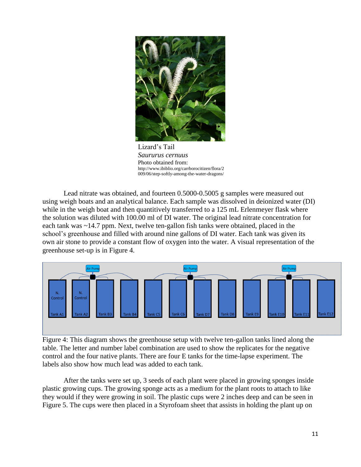

Lizard's Tail *Saururus cernuus* Photo obtained from: http://www.ibiblio.org/carrborocitizen/flora/2 009/06/step-softly-among-the-water-dragons/

Lead nitrate was obtained, and fourteen 0.5000-0.5005 g samples were measured out using weigh boats and an analytical balance. Each sample was dissolved in deionized water (DI) while in the weigh boat and then quantitively transferred to a 125 mL Erlenmeyer flask where the solution was diluted with 100.00 ml of DI water. The original lead nitrate concentration for each tank was ~14.7 ppm. Next, twelve ten-gallon fish tanks were obtained, placed in the school's greenhouse and filled with around nine gallons of DI water. Each tank was given its own air stone to provide a constant flow of oxygen into the water. A visual representation of the greenhouse set-up is in Figure 4.



Figure 4: This diagram shows the greenhouse setup with twelve ten-gallon tanks lined along the table. The letter and number label combination are used to show the replicates for the negative control and the four native plants. There are four E tanks for the time-lapse experiment. The labels also show how much lead was added to each tank.

After the tanks were set up, 3 seeds of each plant were placed in growing sponges inside plastic growing cups. The growing sponge acts as a medium for the plant roots to attach to like they would if they were growing in soil. The plastic cups were 2 inches deep and can be seen in Figure 5. The cups were then placed in a Styrofoam sheet that assists in holding the plant up on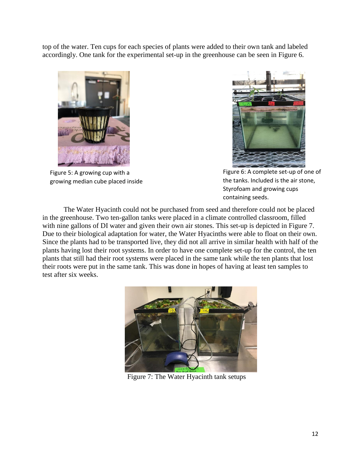top of the water. Ten cups for each species of plants were added to their own tank and labeled accordingly. One tank for the experimental set-up in the greenhouse can be seen in Figure 6.



Figure 5: A growing cup with a growing median cube placed inside



Figure 6: A complete set-up of one of the tanks. Included is the air stone, Styrofoam and growing cups containing seeds.

The Water Hyacinth could not be purchased from seed and therefore could not be placed in the greenhouse. Two ten-gallon tanks were placed in a climate controlled classroom, filled with nine gallons of DI water and given their own air stones. This set-up is depicted in Figure 7. Due to their biological adaptation for water, the Water Hyacinths were able to float on their own. Since the plants had to be transported live, they did not all arrive in similar health with half of the plants having lost their root systems. In order to have one complete set-up for the control, the ten plants that still had their root systems were placed in the same tank while the ten plants that lost their roots were put in the same tank. This was done in hopes of having at least ten samples to test after six weeks.



Figure 7: The Water Hyacinth tank setups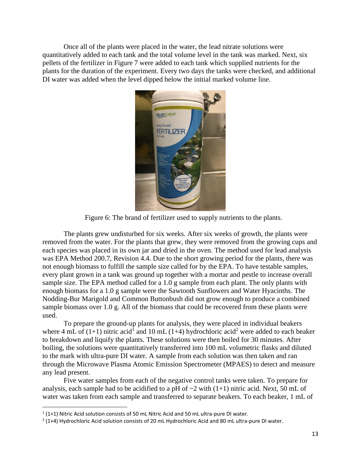Once all of the plants were placed in the water, the lead nitrate solutions were quantitatively added to each tank and the total volume level in the tank was marked. Next, six pellets of the fertilizer in Figure 7 were added to each tank which supplied nutrients for the plants for the duration of the experiment. Every two days the tanks were checked, and additional DI water was added when the level dipped below the initial marked volume line.



Figure 6: The brand of fertilizer used to supply nutrients to the plants.

The plants grew undisturbed for six weeks. After six weeks of growth, the plants were removed from the water. For the plants that grew, they were removed from the growing cups and each species was placed in its own jar and dried in the oven. The method used for lead analysis was EPA Method 200.7, Revision 4.4. Due to the short growing period for the plants, there was not enough biomass to fulfill the sample size called for by the EPA. To have testable samples, every plant grown in a tank was ground up together with a mortar and pestle to increase overall sample size. The EPA method called for a 1.0 g sample from each plant. The only plants with enough biomass for a 1.0 g sample were the Sawtooth Sunflowers and Water Hyacinths. The Nodding-Bur Marigold and Common Buttonbush did not grow enough to produce a combined sample biomass over 1.0 g. All of the biomass that could be recovered from these plants were used.

To prepare the ground-up plants for analysis, they were placed in individual beakers where 4 mL of (1+1) nitric acid<sup>1</sup> and 10 mL (1+4) hydrochloric acid<sup>2</sup> were added to each beaker to breakdown and liquify the plants. These solutions were then boiled for 30 minutes. After boiling, the solutions were quantitatively transferred into 100 mL volumetric flasks and diluted to the mark with ultra-pure DI water. A sample from each solution was then taken and ran through the Microwave Plasma Atomic Emission Spectrometer (MPAES) to detect and measure any lead present.

Five water samples from each of the negative control tanks were taken. To prepare for analysis, each sample had to be acidified to a pH of  $\sim$ 2 with (1+1) nitric acid. Next, 50 mL of water was taken from each sample and transferred to separate beakers. To each beaker, 1 mL of

 $\overline{\phantom{a}}$ 

 $1(1+1)$  Nitric Acid solution consists of 50 mL Nitric Acid and 50 mL ultra-pure DI water.

 $2$  (1+4) Hydrochloric Acid solution consists of 20 mL Hydrochloric Acid and 80 mL ultra-pure DI water.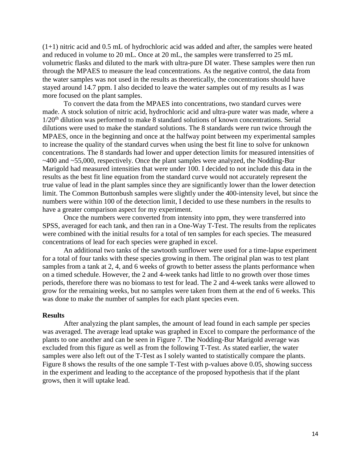$(1+1)$  nitric acid and 0.5 mL of hydrochloric acid was added and after, the samples were heated and reduced in volume to 20 mL. Once at 20 mL, the samples were transferred to 25 mL volumetric flasks and diluted to the mark with ultra-pure DI water. These samples were then run through the MPAES to measure the lead concentrations. As the negative control, the data from the water samples was not used in the results as theoretically, the concentrations should have stayed around 14.7 ppm. I also decided to leave the water samples out of my results as I was more focused on the plant samples.

To convert the data from the MPAES into concentrations, two standard curves were made. A stock solution of nitric acid, hydrochloric acid and ultra-pure water was made, where a  $1/20<sup>th</sup>$  dilution was performed to make 8 standard solutions of known concentrations. Serial dilutions were used to make the standard solutions. The 8 standards were run twice through the MPAES, once in the beginning and once at the halfway point between my experimental samples to increase the quality of the standard curves when using the best fit line to solve for unknown concentrations. The 8 standards had lower and upper detection limits for measured intensities of ~400 and ~55,000, respectively. Once the plant samples were analyzed, the Nodding-Bur Marigold had measured intensities that were under 100. I decided to not include this data in the results as the best fit line equation from the standard curve would not accurately represent the true value of lead in the plant samples since they are significantly lower than the lower detection limit. The Common Buttonbush samples were slightly under the 400-intensity level, but since the numbers were within 100 of the detection limit, I decided to use these numbers in the results to have a greater comparison aspect for my experiment.

Once the numbers were converted from intensity into ppm, they were transferred into SPSS, averaged for each tank, and then ran in a One-Way T-Test. The results from the replicates were combined with the initial results for a total of ten samples for each species. The measured concentrations of lead for each species were graphed in excel.

An additional two tanks of the sawtooth sunflower were used for a time-lapse experiment for a total of four tanks with these species growing in them. The original plan was to test plant samples from a tank at 2, 4, and 6 weeks of growth to better assess the plants performance when on a timed schedule. However, the 2 and 4-week tanks had little to no growth over those times periods, therefore there was no biomass to test for lead. The 2 and 4-week tanks were allowed to grow for the remaining weeks, but no samples were taken from them at the end of 6 weeks. This was done to make the number of samples for each plant species even.

## **Results**

After analyzing the plant samples, the amount of lead found in each sample per species was averaged. The average lead uptake was graphed in Excel to compare the performance of the plants to one another and can be seen in Figure 7. The Nodding-Bur Marigold average was excluded from this figure as well as from the following T-Test. As stated earlier, the water samples were also left out of the T-Test as I solely wanted to statistically compare the plants. Figure 8 shows the results of the one sample T-Test with p-values above 0.05, showing success in the experiment and leading to the acceptance of the proposed hypothesis that if the plant grows, then it will uptake lead.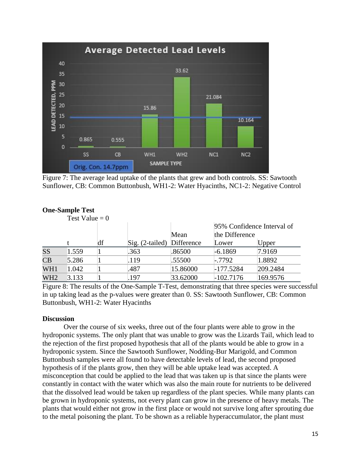

Figure 7: The average lead uptake of the plants that grew and both controls. SS: Sawtooth Sunflower, CB: Common Buttonbush, WH1-2: Water Hyacinths, NC1-2: Negative Control

|                 | Test Value = $0$ |    |                            |          |                                              |          |
|-----------------|------------------|----|----------------------------|----------|----------------------------------------------|----------|
|                 |                  |    |                            |          | 95% Confidence Interval of<br>the Difference |          |
|                 |                  |    |                            | Mean     |                                              |          |
|                 |                  | df | Sig. (2-tailed) Difference |          | Lower                                        | Upper    |
| SS              | 1.559            |    | .363                       | .86500   | $-6.1869$                                    | 7.9169   |
| CB              | 5.286            |    | .119                       | .55500   | $-.7792$                                     | 1.8892   |
| WH1             | 1.042            |    | .487                       | 15.86000 | $-177.5284$                                  | 209.2484 |
| WH <sub>2</sub> | 3.133            |    | .197                       | 33.62000 | $-102.7176$                                  | 169.9576 |

# **One-Sample Test**

Figure 8: The results of the One-Sample T-Test, demonstrating that three species were successful in up taking lead as the p-values were greater than 0. SS: Sawtooth Sunflower, CB: Common Buttonbush, WH1-2: Water Hyacinths

# **Discussion**

Over the course of six weeks, three out of the four plants were able to grow in the hydroponic systems. The only plant that was unable to grow was the Lizards Tail, which lead to the rejection of the first proposed hypothesis that all of the plants would be able to grow in a hydroponic system. Since the Sawtooth Sunflower, Nodding-Bur Marigold, and Common Buttonbush samples were all found to have detectable levels of lead, the second proposed hypothesis of if the plants grow, then they will be able uptake lead was accepted. A misconception that could be applied to the lead that was taken up is that since the plants were constantly in contact with the water which was also the main route for nutrients to be delivered that the dissolved lead would be taken up regardless of the plant species. While many plants can be grown in hydroponic systems, not every plant can grow in the presence of heavy metals. The plants that would either not grow in the first place or would not survive long after sprouting due to the metal poisoning the plant. To be shown as a reliable hyperaccumulator, the plant must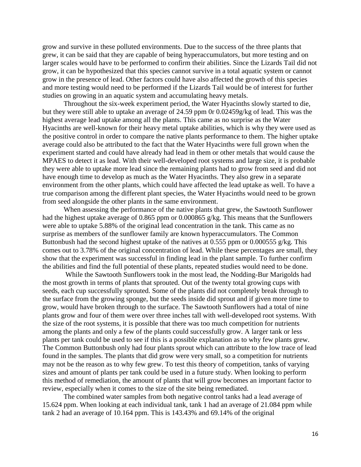grow and survive in these polluted environments. Due to the success of the three plants that grew, it can be said that they are capable of being hyperaccumulators, but more testing and on larger scales would have to be performed to confirm their abilities. Since the Lizards Tail did not grow, it can be hypothesized that this species cannot survive in a total aquatic system or cannot grow in the presence of lead. Other factors could have also affected the growth of this species and more testing would need to be performed if the Lizards Tail would be of interest for further studies on growing in an aquatic system and accumulating heavy metals.

Throughout the six-week experiment period, the Water Hyacinths slowly started to die, but they were still able to uptake an average of 24.59 ppm 0r 0.02459g/kg of lead. This was the highest average lead uptake among all the plants. This came as no surprise as the Water Hyacinths are well-known for their heavy metal uptake abilities, which is why they were used as the positive control in order to compare the native plants performance to them. The higher uptake average could also be attributed to the fact that the Water Hyacinths were full grown when the experiment started and could have already had lead in them or other metals that would cause the MPAES to detect it as lead. With their well-developed root systems and large size, it is probable they were able to uptake more lead since the remaining plants had to grow from seed and did not have enough time to develop as much as the Water Hyacinths. They also grew in a separate environment from the other plants, which could have affected the lead uptake as well. To have a true comparison among the different plant species, the Water Hyacinths would need to be grown from seed alongside the other plants in the same environment.

When assessing the performance of the native plants that grew, the Sawtooth Sunflower had the highest uptake average of 0.865 ppm or 0.000865 g/kg. This means that the Sunflowers were able to uptake 5.88% of the original lead concentration in the tank. This came as no surprise as members of the sunflower family are known hyperaccumulators. The Common Buttonbush had the second highest uptake of the natives at 0.555 ppm or 0.000555 g/kg. This comes out to 3.78% of the original concentration of lead. While these percentages are small, they show that the experiment was successful in finding lead in the plant sample. To further confirm the abilities and find the full potential of these plants, repeated studies would need to be done.

While the Sawtooth Sunflowers took in the most lead, the Nodding-Bur Marigolds had the most growth in terms of plants that sprouted. Out of the twenty total growing cups with seeds, each cup successfully sprouted. Some of the plants did not completely break through to the surface from the growing sponge, but the seeds inside did sprout and if given more time to grow, would have broken through to the surface. The Sawtooth Sunflowers had a total of nine plants grow and four of them were over three inches tall with well-developed root systems. With the size of the root systems, it is possible that there was too much competition for nutrients among the plants and only a few of the plants could successfully grow. A larger tank or less plants per tank could be used to see if this is a possible explanation as to why few plants grew. The Common Buttonbush only had four plants sprout which can attribute to the low trace of lead found in the samples. The plants that did grow were very small, so a competition for nutrients may not be the reason as to why few grew. To test this theory of competition, tanks of varying sizes and amount of plants per tank could be used in a future study. When looking to perform this method of remediation, the amount of plants that will grow becomes an important factor to review, especially when it comes to the size of the site being remediated.

The combined water samples from both negative control tanks had a lead average of 15.624 ppm. When looking at each individual tank, tank 1 had an average of 21.084 ppm while tank 2 had an average of 10.164 ppm. This is 143.43% and 69.14% of the original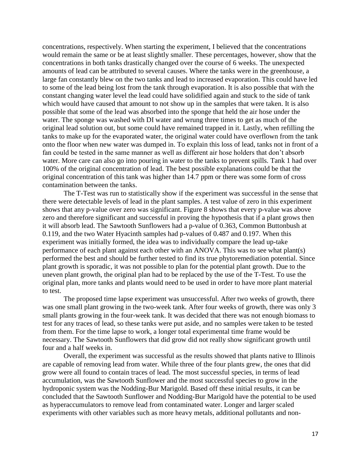concentrations, respectively. When starting the experiment, I believed that the concentrations would remain the same or be at least slightly smaller. These percentages, however, show that the concentrations in both tanks drastically changed over the course of 6 weeks. The unexpected amounts of lead can be attributed to several causes. Where the tanks were in the greenhouse, a large fan constantly blew on the two tanks and lead to increased evaporation. This could have led to some of the lead being lost from the tank through evaporation. It is also possible that with the constant changing water level the lead could have solidified again and stuck to the side of tank which would have caused that amount to not show up in the samples that were taken. It is also possible that some of the lead was absorbed into the sponge that held the air hose under the water. The sponge was washed with DI water and wrung three times to get as much of the original lead solution out, but some could have remained trapped in it. Lastly, when refilling the tanks to make up for the evaporated water, the original water could have overflown from the tank onto the floor when new water was dumped in. To explain this loss of lead, tanks not in front of a fan could be tested in the same manner as well as different air hose holders that don't absorb water. More care can also go into pouring in water to the tanks to prevent spills. Tank 1 had over 100% of the original concentration of lead. The best possible explanations could be that the original concentration of this tank was higher than 14.7 ppm or there was some form of cross contamination between the tanks.

The T-Test was run to statistically show if the experiment was successful in the sense that there were detectable levels of lead in the plant samples. A test value of zero in this experiment shows that any p-value over zero was significant. Figure 8 shows that every p-value was above zero and therefore significant and successful in proving the hypothesis that if a plant grows then it will absorb lead. The Sawtooth Sunflowers had a p-value of 0.363, Common Buttonbush at 0.119, and the two Water Hyacinth samples had p-values of 0.487 and 0.197. When this experiment was initially formed, the idea was to individually compare the lead up-take performance of each plant against each other with an ANOVA. This was to see what plant(s) performed the best and should be further tested to find its true phytoremediation potential. Since plant growth is sporadic, it was not possible to plan for the potential plant growth. Due to the uneven plant growth, the original plan had to be replaced by the use of the T-Test. To use the original plan, more tanks and plants would need to be used in order to have more plant material to test.

The proposed time lapse experiment was unsuccessful. After two weeks of growth, there was one small plant growing in the two-week tank. After four weeks of growth, there was only 3 small plants growing in the four-week tank. It was decided that there was not enough biomass to test for any traces of lead, so these tanks were put aside, and no samples were taken to be tested from them. For the time lapse to work, a longer total experimental time frame would be necessary. The Sawtooth Sunflowers that did grow did not really show significant growth until four and a half weeks in.

Overall, the experiment was successful as the results showed that plants native to Illinois are capable of removing lead from water. While three of the four plants grew, the ones that did grow were all found to contain traces of lead. The most successful species, in terms of lead accumulation, was the Sawtooth Sunflower and the most successful species to grow in the hydroponic system was the Nodding-Bur Marigold. Based off these initial results, it can be concluded that the Sawtooth Sunflower and Nodding-Bur Marigold have the potential to be used as hyperaccumulators to remove lead from contaminated water. Longer and larger scaled experiments with other variables such as more heavy metals, additional pollutants and non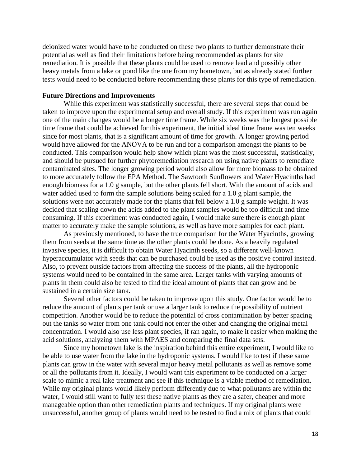deionized water would have to be conducted on these two plants to further demonstrate their potential as well as find their limitations before being recommended as plants for site remediation. It is possible that these plants could be used to remove lead and possibly other heavy metals from a lake or pond like the one from my hometown, but as already stated further tests would need to be conducted before recommending these plants for this type of remediation.

# **Future Directions and Improvements**

While this experiment was statistically successful, there are several steps that could be taken to improve upon the experimental setup and overall study. If this experiment was run again one of the main changes would be a longer time frame. While six weeks was the longest possible time frame that could be achieved for this experiment, the initial ideal time frame was ten weeks since for most plants, that is a significant amount of time for growth. A longer growing period would have allowed for the ANOVA to be run and for a comparison amongst the plants to be conducted. This comparison would help show which plant was the most successful, statistically, and should be pursued for further phytoremediation research on using native plants to remediate contaminated sites. The longer growing period would also allow for more biomass to be obtained to more accurately follow the EPA Method. The Sawtooth Sunflowers and Water Hyacinths had enough biomass for a 1.0 g sample, but the other plants fell short. With the amount of acids and water added used to form the sample solutions being scaled for a 1.0 g plant sample, the solutions were not accurately made for the plants that fell below a 1.0 g sample weight. It was decided that scaling down the acids added to the plant samples would be too difficult and time consuming. If this experiment was conducted again, I would make sure there is enough plant matter to accurately make the sample solutions, as well as have more samples for each plant.

As previously mentioned, to have the true comparison for the Water Hyacinths, growing them from seeds at the same time as the other plants could be done. As a heavily regulated invasive species, it is difficult to obtain Water Hyacinth seeds, so a different well-known hyperaccumulator with seeds that can be purchased could be used as the positive control instead. Also, to prevent outside factors from affecting the success of the plants, all the hydroponic systems would need to be contained in the same area. Larger tanks with varying amounts of plants in them could also be tested to find the ideal amount of plants that can grow and be sustained in a certain size tank.

Several other factors could be taken to improve upon this study. One factor would be to reduce the amount of plants per tank or use a larger tank to reduce the possibility of nutrient competition. Another would be to reduce the potential of cross contamination by better spacing out the tanks so water from one tank could not enter the other and changing the original metal concentration. I would also use less plant species, if ran again, to make it easier when making the acid solutions, analyzing them with MPAES and comparing the final data sets.

Since my hometown lake is the inspiration behind this entire experiment, I would like to be able to use water from the lake in the hydroponic systems. I would like to test if these same plants can grow in the water with several major heavy metal pollutants as well as remove some or all the pollutants from it. Ideally, I would want this experiment to be conducted on a larger scale to mimic a real lake treatment and see if this technique is a viable method of remediation. While my original plants would likely perform differently due to what pollutants are within the water, I would still want to fully test these native plants as they are a safer, cheaper and more manageable option than other remediation plants and techniques. If my original plants were unsuccessful, another group of plants would need to be tested to find a mix of plants that could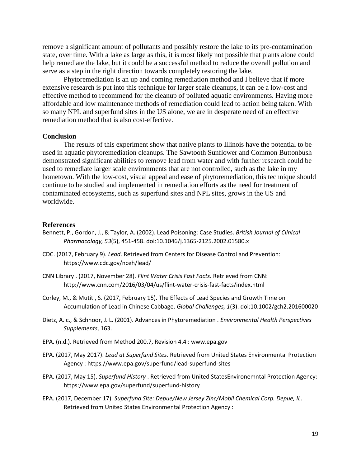remove a significant amount of pollutants and possibly restore the lake to its pre-contamination state, over time. With a lake as large as this, it is most likely not possible that plants alone could help remediate the lake, but it could be a successful method to reduce the overall pollution and serve as a step in the right direction towards completely restoring the lake.

Phytoremediation is an up and coming remediation method and I believe that if more extensive research is put into this technique for larger scale cleanups, it can be a low-cost and effective method to recommend for the cleanup of polluted aquatic environments. Having more affordable and low maintenance methods of remediation could lead to action being taken. With so many NPL and superfund sites in the US alone, we are in desperate need of an effective remediation method that is also cost-effective.

## **Conclusion**

The results of this experiment show that native plants to Illinois have the potential to be used in aquatic phytoremediation cleanups. The Sawtooth Sunflower and Common Buttonbush demonstrated significant abilities to remove lead from water and with further research could be used to remediate larger scale environments that are not controlled, such as the lake in my hometown. With the low-cost, visual appeal and ease of phytoremediation, this technique should continue to be studied and implemented in remediation efforts as the need for treatment of contaminated ecosystems, such as superfund sites and NPL sites, grows in the US and worldwide.

## **References**

- Bennett, P., Gordon, J., & Taylor, A. (2002). Lead Poisoning: Case Studies. *British Journal of Clinical Pharmacology, 53*(5), 451-458. doi:10.1046/j.1365-2125.2002.01580.x
- CDC. (2017, February 9). *Lead*. Retrieved from Centers for Disease Control and Prevention: https://www.cdc.gov/nceh/lead/
- CNN Library . (2017, November 28). *Flint Water Crisis Fast Facts.* Retrieved from CNN: http://www.cnn.com/2016/03/04/us/flint-water-crisis-fast-facts/index.html
- Corley, M., & Mutiti, S. (2017, February 15). The Effects of Lead Species and Growth Time on Accumulation of Lead in Chinese Cabbage. *Global Challenges, 1*(3). doi:10.1002/gch2.201600020
- Dietz, A. c., & Schnoor, J. L. (2001). Advances in Phytoremediation . *Environmental Health Perspectives Supplements*, 163.
- EPA. (n.d.). Retrieved from Method 200.7, Revision 4.4 : www.epa.gov
- EPA. (2017, May 2017). *Lead at Superfund Sites*. Retrieved from United States Environmental Protection Agency : https://www.epa.gov/superfund/lead-superfund-sites
- EPA. (2017, May 15). *Superfund History* . Retrieved from United StatesEnvironemntal Protection Agency: https://www.epa.gov/superfund/superfund-history
- EPA. (2017, December 17). *Superfund Site: Depue/New Jersey Zinc/Mobil Chemical Corp. Depue, IL*. Retrieved from United States Environmental Protection Agency :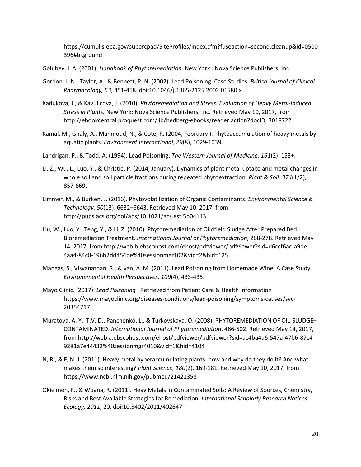https://cumulis.epa.gov/supercpad/SiteProfiles/index.cfm?fuseaction=second.cleanup&id=0500 396#bkground

- Golubev, I. A. (2001). *Handbook of Phytoremediation.* New York : Nova Science Publishers, Inc.
- Gordon, J. N., Taylor, A., & Bennett, P. N. (2002). Lead Poisoning: Case Studies. *British Journal of Clinical Pharmacology, 53*, 451-458. doi:10.1046/j.1365-2125.2002.01580.x
- Kadukova, J., & Kavulicova, J. (2010). *Phytoremediation and Stress: Evaluation of Heavy Metal-Induced Stress in Plants.* New York: Nova Science Publishers, Inc. Retrieved May 10, 2017, from http://ebookcentral.proquest.com/lib/hedberg-ebooks/reader.action?docID=3018722
- Kamal, M., Ghaly, A., Mahmoud, N., & Cote, R. (2004, February ). Phytoaccumulation of heavy metals by aquatic plants. *Environment International, 29*(8), 1029-1039.
- Landrigan, P., & Todd, A. (1994). Lead Poisoning. *The Western Journal of Medicine, 161*(2), 153+.
- Li, Z., Wu, L., Luo, Y., & Christie, P. (2014, January). Dynamics of plant metal uptake and metal changes in whole soil and soil particle fractions during repeated phytoextraction. *Plant & Soil, 374*(1/2), 857-869.
- Limmer, M., & Burken, J. (2016). Phytovolatilization of Organic Contaminants. *Environmental Science & Technology, 50*(13), 6632–6643. Retrieved May 10, 2017, from http://pubs.acs.org/doi/abs/10.1021/acs.est.5b04113
- Liu, W., Luo, Y., Teng, Y., & Li, Z. (2010). Phytoremediation of Oildfield Sludge After Prepared Bed Bioremediation Treatment. *International Journal of Phytoremediation*, 268-278. Retrieved May 14, 2017, from http://web.b.ebscohost.com/ehost/pdfviewer/pdfviewer?sid=d6ccf6ac-a9de-4aa4-84c0-196b2dd454be%40sessionmgr102&vid=2&hid=125
- Mangas, S., Visvanathan, R., & van, A. M. (2011). Lead Poisoning from Homemade Wine: A Case Study. *Environemental Health Perspectives, 109*(4), 433-435.
- Mayo Clinic. (2017). *Lead Poisoning* . Retrieved from Patient Care & Health Information : https://www.mayoclinic.org/diseases-conditions/lead-poisoning/symptoms-causes/syc-20354717
- Muratova, A. Y., T.V, D., Panchenko, L., & Turkovskaya, O. (2008). PHYTOREMEDIATION OF OIL-SLUDGE– CONTAMINATED. *International Journal of Phytoremediation*, 486-502. Retrieved May 14, 2017, from http://web.a.ebscohost.com/ehost/pdfviewer/pdfviewer?sid=ac4ba4a6-547a-47b6-87c4- 9281a7e44432%40sessionmgr4010&vid=1&hid=4104
- N, R., & F, N.-I. (2011). Heavy metal hyperaccumulating plants: how and why do they do it? And what makes them so interesting? *Plant Science, 180*(2), 169-181. Retrieved May 10, 2017, from https://www.ncbi.nlm.nih.gov/pubmed/21421358
- Okieimen, F., & Wuana, R. (2011). Heav Metals in Contaminated Soils: A Review of Sources, Chemistry, Risks and Best Available Strategies for Remediation. *International Scholarly Research Notices Ecology, 2011*, 20. doi:10.5402/2011/402647